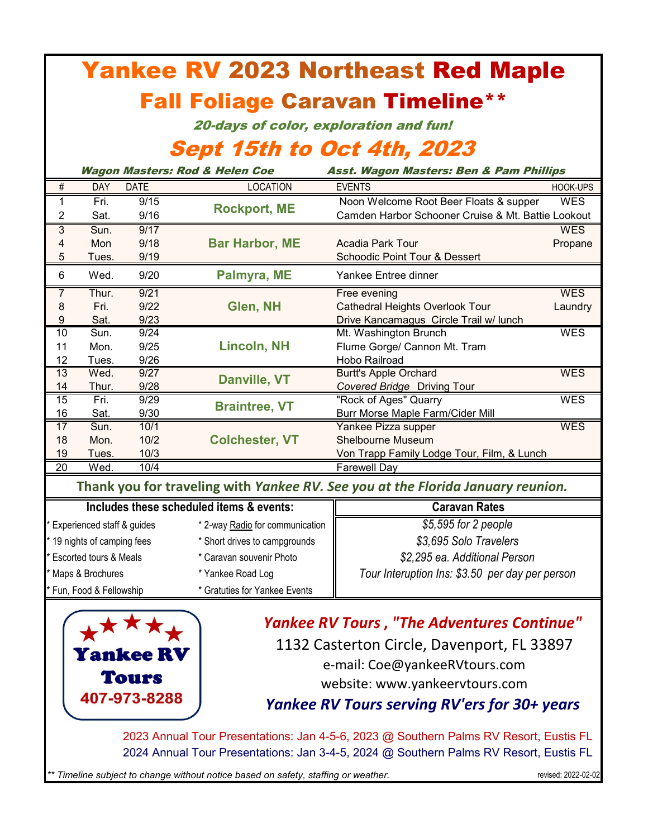| <b>Yankee RV 2023 Northeast Red Maple</b>                                                                                                                                      |                                                                                                           |              |                                           |                                                                                              |            |  |  |  |  |  |
|--------------------------------------------------------------------------------------------------------------------------------------------------------------------------------|-----------------------------------------------------------------------------------------------------------|--------------|-------------------------------------------|----------------------------------------------------------------------------------------------|------------|--|--|--|--|--|
| <b>Fall Foliage Caravan Timeline**</b>                                                                                                                                         |                                                                                                           |              |                                           |                                                                                              |            |  |  |  |  |  |
| 20-days of color, exploration and fun!                                                                                                                                         |                                                                                                           |              |                                           |                                                                                              |            |  |  |  |  |  |
|                                                                                                                                                                                |                                                                                                           |              | <b>Sept 15th to Oct 4th, 2023</b>         |                                                                                              |            |  |  |  |  |  |
|                                                                                                                                                                                |                                                                                                           |              | <b>Wagon Masters: Rod &amp; Helen Coe</b> | Asst. Wagon Masters: Ben & Pam Phillips                                                      |            |  |  |  |  |  |
| $\#$                                                                                                                                                                           | <b>DAY</b>                                                                                                | <b>DATE</b>  | <b>LOCATION</b>                           | <b>EVENTS</b>                                                                                | HOOK-UPS   |  |  |  |  |  |
| 1<br>$\overline{2}$                                                                                                                                                            | Fri.<br>Sat.                                                                                              | 9/15<br>9/16 | <b>Rockport, ME</b>                       | Noon Welcome Root Beer Floats & supper<br>Camden Harbor Schooner Cruise & Mt. Battie Lookout | <b>WES</b> |  |  |  |  |  |
| $\overline{3}$                                                                                                                                                                 | Sun.                                                                                                      | 9/17         |                                           |                                                                                              | <b>WES</b> |  |  |  |  |  |
| 4<br>5                                                                                                                                                                         | Mon<br>Tues.                                                                                              | 9/18<br>9/19 | <b>Bar Harbor, ME</b>                     | Acadia Park Tour<br><b>Schoodic Point Tour &amp; Dessert</b>                                 | Propane    |  |  |  |  |  |
| 6                                                                                                                                                                              | Wed.                                                                                                      | 9/20         | Palmyra, ME                               | Yankee Entree dinner                                                                         |            |  |  |  |  |  |
| $\overline{7}$                                                                                                                                                                 | Thur.                                                                                                     | 9/21         |                                           | Free evening                                                                                 | <b>WES</b> |  |  |  |  |  |
| 8                                                                                                                                                                              | Fri.                                                                                                      | 9/22         | Glen, NH                                  | <b>Cathedral Heights Overlook Tour</b>                                                       | Laundry    |  |  |  |  |  |
| $\boldsymbol{9}$                                                                                                                                                               | Sat.                                                                                                      | 9/23         |                                           | Drive Kancamagus Circle Trail w/ lunch                                                       |            |  |  |  |  |  |
| 10                                                                                                                                                                             | Sun.                                                                                                      | 9/24         |                                           | Mt. Washington Brunch                                                                        | <b>WES</b> |  |  |  |  |  |
| 11                                                                                                                                                                             | Mon.                                                                                                      | 9/25         | <b>Lincoln, NH</b>                        | Flume Gorge/ Cannon Mt. Tram                                                                 |            |  |  |  |  |  |
| 12                                                                                                                                                                             | Tues.                                                                                                     | 9/26         |                                           | Hobo Railroad                                                                                |            |  |  |  |  |  |
| $\overline{13}$                                                                                                                                                                | Wed.                                                                                                      | 9/27         | Danville, VT                              | <b>Burtt's Apple Orchard</b>                                                                 | <b>WES</b> |  |  |  |  |  |
| 14                                                                                                                                                                             | Thur.<br>Fri.                                                                                             | 9/28<br>9/29 |                                           | <b>Covered Bridge Driving Tour</b><br>"Rock of Ages" Quarry                                  | <b>WES</b> |  |  |  |  |  |
| 15<br>16                                                                                                                                                                       | Sat.                                                                                                      | 9/30         | <b>Braintree, VT</b>                      | Burr Morse Maple Farm/Cider Mill                                                             |            |  |  |  |  |  |
| 17                                                                                                                                                                             | Sun.                                                                                                      | 10/1         |                                           | Yankee Pizza supper                                                                          | <b>WES</b> |  |  |  |  |  |
| 18                                                                                                                                                                             | Mon.                                                                                                      | 10/2         | <b>Colchester, VT</b>                     | <b>Shelbourne Museum</b>                                                                     |            |  |  |  |  |  |
| 19                                                                                                                                                                             | 10/3<br>Tues.                                                                                             |              |                                           | Von Trapp Family Lodge Tour, Film, & Lunch                                                   |            |  |  |  |  |  |
| 20                                                                                                                                                                             | Wed.                                                                                                      | 10/4         |                                           | <b>Farewell Day</b>                                                                          |            |  |  |  |  |  |
|                                                                                                                                                                                |                                                                                                           |              |                                           | Thank you for traveling with Yankee RV. See you at the Florida January reunion.              |            |  |  |  |  |  |
|                                                                                                                                                                                |                                                                                                           |              | Includes these scheduled items & events:  | <b>Caravan Rates</b>                                                                         |            |  |  |  |  |  |
| * Experienced staff & guides                                                                                                                                                   |                                                                                                           |              | * 2-way Radio for communication           | \$5,595 for 2 people                                                                         |            |  |  |  |  |  |
| 19 nights of camping fees                                                                                                                                                      |                                                                                                           |              | * Short drives to campgrounds             | \$3,695 Solo Travelers                                                                       |            |  |  |  |  |  |
| Escorted tours & Meals                                                                                                                                                         |                                                                                                           |              | * Caravan souvenir Photo                  | \$2,295 ea. Additional Person                                                                |            |  |  |  |  |  |
| Maps & Brochures                                                                                                                                                               |                                                                                                           |              | * Yankee Road Log                         | Tour Interuption Ins: \$3.50 per day per person                                              |            |  |  |  |  |  |
| Fun, Food & Fellowship                                                                                                                                                         |                                                                                                           |              | * Gratuties for Yankee Events             |                                                                                              |            |  |  |  |  |  |
| <b>Yankee RV Tours, "The Adventures Continue"</b><br>1132 Casterton Circle, Davenport, FL 33897<br><b>Yankee RV</b><br>e-mail: Coe@yankeeRVtours.com                           |                                                                                                           |              |                                           |                                                                                              |            |  |  |  |  |  |
|                                                                                                                                                                                |                                                                                                           | Tours        |                                           |                                                                                              |            |  |  |  |  |  |
|                                                                                                                                                                                |                                                                                                           | 407-973-8288 |                                           | website: www.yankeervtours.com                                                               |            |  |  |  |  |  |
| Yankee RV Tours serving RV'ers for 30+ years                                                                                                                                   |                                                                                                           |              |                                           |                                                                                              |            |  |  |  |  |  |
| 2023 Annual Tour Presentations: Jan 4-5-6, 2023 @ Southern Palms RV Resort, Eustis FL<br>2024 Annual Tour Presentations: Jan 3-4-5, 2024 @ Southern Palms RV Resort, Eustis FL |                                                                                                           |              |                                           |                                                                                              |            |  |  |  |  |  |
|                                                                                                                                                                                | ** Timeline subject to change without notice based on safety, staffing or weather.<br>revised: 2022-02-02 |              |                                           |                                                                                              |            |  |  |  |  |  |